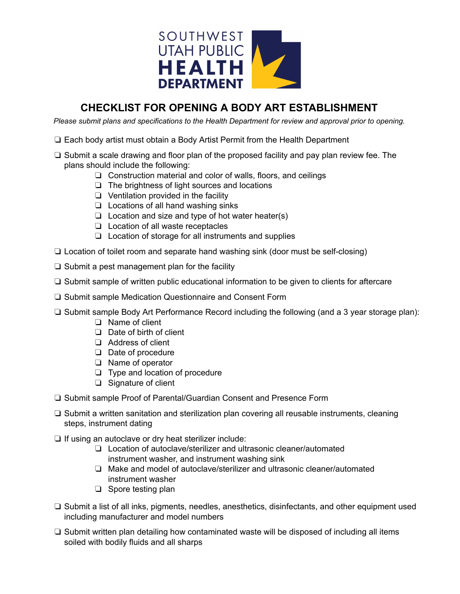

## **CHECKLIST FOR OPENING A BODY ART ESTABLISHMENT**

*Please submit plans and specifications to the Health Department for review and approval prior to opening.*

- ❏ Each body artist must obtain a Body Artist Permit from the Health Department
- ❏ Submit a scale drawing and floor plan of the proposed facility and pay plan review fee. The plans should include the following:
	- ❏ Construction material and color of walls, floors, and ceilings
	- ❏ The brightness of light sources and locations
	- ❏ Ventilation provided in the facility
	- ❏ Locations of all hand washing sinks
	- ❏ Location and size and type of hot water heater(s)
	- ❏ Location of all waste receptacles
	- ❏ Location of storage for all instruments and supplies
- ❏ Location of toilet room and separate hand washing sink (door must be self-closing)
- ❏ Submit a pest management plan for the facility
- ❏ Submit sample of written public educational information to be given to clients for aftercare
- ❏ Submit sample Medication Questionnaire and Consent Form
- ❏ Submit sample Body Art Performance Record including the following (and a 3 year storage plan):
	- ❏ Name of client
	- ❏ Date of birth of client
	- ❏ Address of client
	- ❏ Date of procedure
	- ❏ Name of operator
	- ❏ Type and location of procedure
	- ❏ Signature of client
- ❏ Submit sample Proof of Parental/Guardian Consent and Presence Form
- ❏ Submit a written sanitation and sterilization plan covering all reusable instruments, cleaning steps, instrument dating
- ❏ If using an autoclave or dry heat sterilizer include:
	- ❏ Location of autoclave/sterilizer and ultrasonic cleaner/automated instrument washer, and instrument washing sink
	- ❏ Make and model of autoclave/sterilizer and ultrasonic cleaner/automated instrument washer
	- ❏ Spore testing plan
- ❏ Submit a list of all inks, pigments, needles, anesthetics, disinfectants, and other equipment used including manufacturer and model numbers
- ❏ Submit written plan detailing how contaminated waste will be disposed of including all items soiled with bodily fluids and all sharps